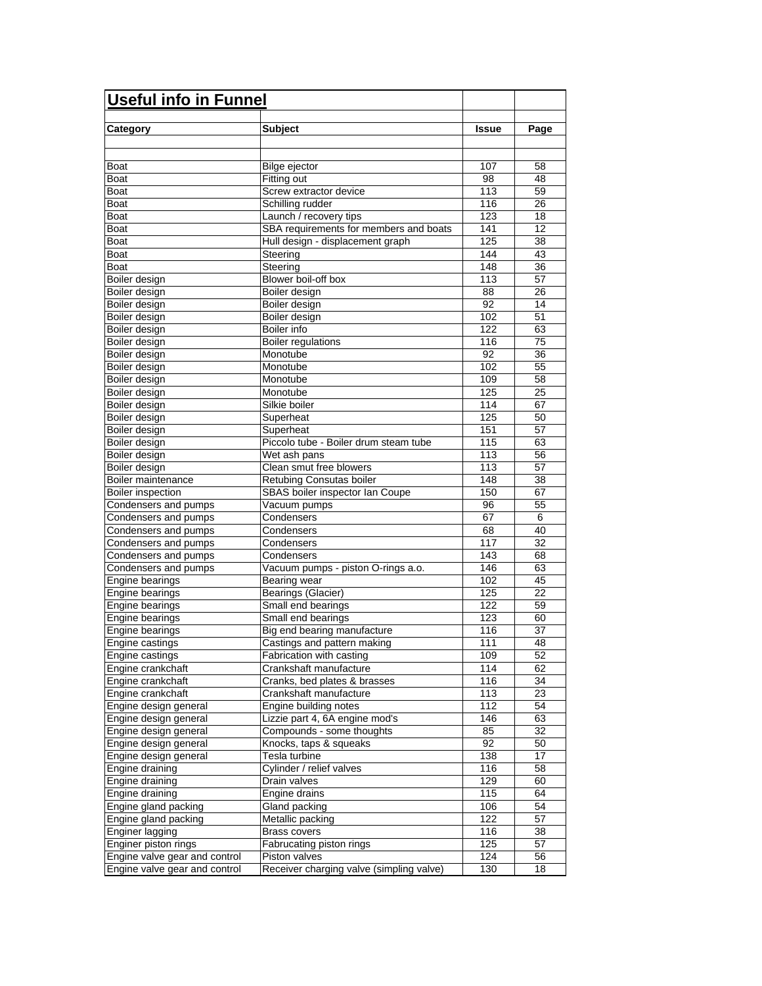| <b>Useful info in Funnel</b>  |                                          |              |      |
|-------------------------------|------------------------------------------|--------------|------|
|                               |                                          |              |      |
| Category                      | <b>Subject</b>                           | <b>Issue</b> | Page |
|                               |                                          |              |      |
| Boat                          | Bilge ejector                            | 107          | 58   |
| Boat                          | Fitting out                              | 98           | 48   |
| Boat                          | Screw extractor device                   | 113          | 59   |
| Boat                          | Schilling rudder                         | 116          | 26   |
| Boat                          | Launch / recovery tips                   | 123          | 18   |
| Boat                          | SBA requirements for members and boats   | 141          | 12   |
| Boat                          | Hull design - displacement graph         | 125          | 38   |
| Boat                          | Steering                                 | 144          | 43   |
| Boat                          | Steering                                 | 148          | 36   |
| Boiler design                 | Blower boil-off box                      | 113          | 57   |
| Boiler design                 | Boiler design                            | 88           | 26   |
| Boiler design                 | Boiler design                            | 92           | 14   |
| Boiler design                 | Boiler design                            | 102          | 51   |
| Boiler design                 | Boiler info                              | 122          | 63   |
| Boiler design                 | <b>Boiler regulations</b>                | 116          | 75   |
| Boiler design                 | Monotube                                 | 92           | 36   |
| Boiler design                 | Monotube                                 | 102          | 55   |
| Boiler design                 | Monotube                                 | 109          | 58   |
| Boiler design                 | Monotube                                 | 125          | 25   |
| Boiler design                 | Silkie boiler                            | 114          | 67   |
| Boiler design                 | Superheat                                | 125          | 50   |
| Boiler design                 | Superheat                                | 151          | 57   |
| Boiler design                 | Piccolo tube - Boiler drum steam tube    | 115          | 63   |
| Boiler design                 | Wet ash pans                             | 113          | 56   |
| Boiler design                 | Clean smut free blowers                  | 113          | 57   |
| Boiler maintenance            | Retubing Consutas boiler                 | 148          | 38   |
| <b>Boiler inspection</b>      | SBAS boiler inspector Ian Coupe          | 150          | 67   |
| Condensers and pumps          | Vacuum pumps                             | 96           | 55   |
| Condensers and pumps          | Condensers                               | 67           | 6    |
| Condensers and pumps          | Condensers                               | 68           | 40   |
| Condensers and pumps          | Condensers                               | 117          | 32   |
| Condensers and pumps          | Condensers                               | 143          | 68   |
| Condensers and pumps          | Vacuum pumps - piston O-rings a.o.       | 146          | 63   |
| Engine bearings               | Bearing wear                             | 102          | 45   |
| Engine bearings               | Bearings (Glacier)                       | 125          | 22   |
| Engine bearings               | Small end bearings                       | 122          | 59   |
| Engine bearings               | Small end bearings                       | 123          | 60   |
| Engine bearings               | Big end bearing manufacture              | 116          | 37   |
| Engine castings               | Castings and pattern making              | 111          | 48   |
| Engine castings               | Fabrication with casting                 | 109          | 52   |
| Engine crankchaft             | Crankshaft manufacture                   | 114          | 62   |
| Engine crankchaft             | Cranks, bed plates & brasses             | 116          | 34   |
| Engine crankchaft             | Crankshaft manufacture                   | 113          | 23   |
| Engine design general         | Engine building notes                    | 112          | 54   |
| Engine design general         | Lizzie part 4, 6A engine mod's           | 146          | 63   |
| Engine design general         | Compounds - some thoughts                | 85           | 32   |
| Engine design general         | Knocks, taps & squeaks                   | 92           | 50   |
| Engine design general         | Tesla turbine                            | 138          | 17   |
| Engine draining               | Cylinder / relief valves                 | 116          | 58   |
| Engine draining               | Drain valves                             | 129          | 60   |
| Engine draining               | Engine drains                            | 115          | 64   |
| Engine gland packing          | Gland packing                            | 106          | 54   |
| Engine gland packing          | Metallic packing                         | 122          | 57   |
| Enginer lagging               | <b>Brass covers</b>                      | 116          | 38   |
| Enginer piston rings          | Fabrucating piston rings                 | 125          | 57   |
| Engine valve gear and control | Piston valves                            | 124          | 56   |
| Engine valve gear and control | Receiver charging valve (simpling valve) | 130          | 18   |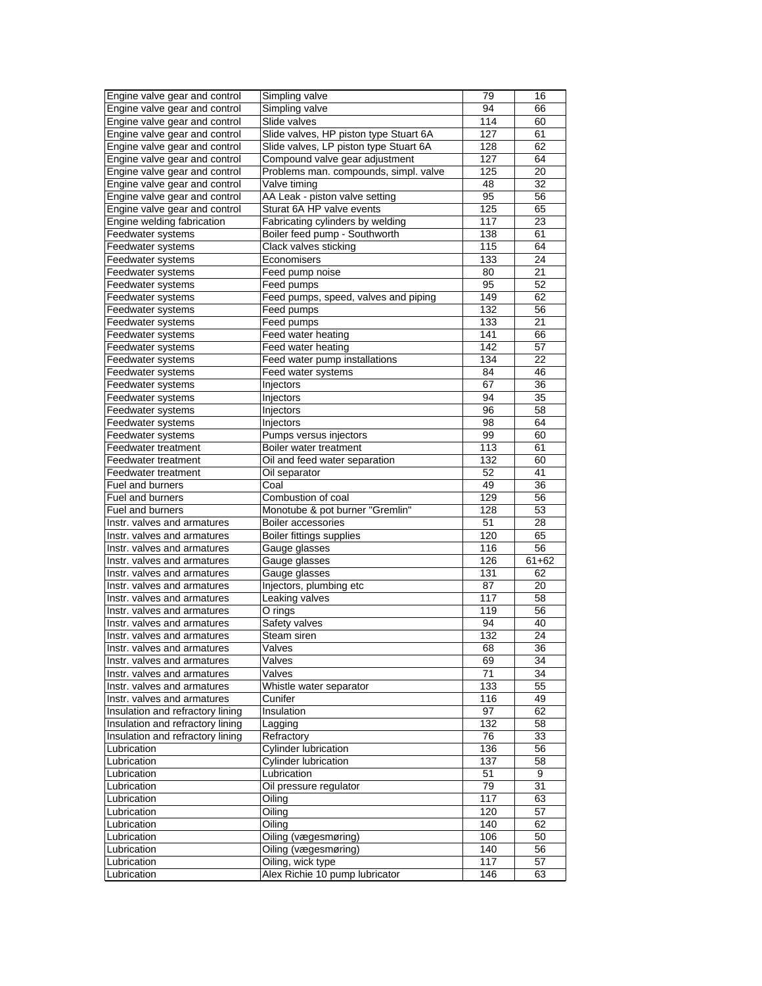| Engine valve gear and control                              | Simpling valve                         | 79  | 16              |
|------------------------------------------------------------|----------------------------------------|-----|-----------------|
| Engine valve gear and control                              | Simpling valve                         | 94  | 66              |
| Engine valve gear and control                              | Slide valves                           | 114 | 60              |
| Engine valve gear and control                              | Slide valves, HP piston type Stuart 6A | 127 | 61              |
| Engine valve gear and control                              | Slide valves, LP piston type Stuart 6A | 128 | 62              |
| Engine valve gear and control                              | Compound valve gear adjustment         | 127 | 64              |
| Engine valve gear and control                              | Problems man. compounds, simpl. valve  | 125 | 20              |
| Engine valve gear and control                              | Valve timing                           | 48  | 32              |
| Engine valve gear and control                              | AA Leak - piston valve setting         | 95  | 56              |
| Engine valve gear and control                              | Sturat 6A HP valve events              | 125 | 65              |
| Engine welding fabrication                                 | Fabricating cylinders by welding       | 117 | 23              |
| Feedwater systems                                          | Boiler feed pump - Southworth          | 138 | 61              |
| Feedwater systems                                          | Clack valves sticking                  | 115 | 64              |
| Feedwater systems                                          | Economisers                            | 133 | 24              |
| Feedwater systems                                          | Feed pump noise                        | 80  | 21              |
| Feedwater systems                                          | Feed pumps                             | 95  | 52              |
| Feedwater systems                                          | Feed pumps, speed, valves and piping   | 149 | 62              |
| Feedwater systems                                          | Feed pumps                             | 132 | 56              |
| Feedwater systems                                          | Feed pumps                             | 133 | 21              |
| Feedwater systems                                          | Feed water heating                     | 141 | 66              |
| Feedwater systems                                          | Feed water heating                     | 142 | 57              |
| Feedwater systems                                          | Feed water pump installations          | 134 | 22              |
| Feedwater systems                                          | Feed water systems                     | 84  | 46              |
| Feedwater systems                                          | Injectors                              | 67  | 36              |
| Feedwater systems                                          | Injectors                              | 94  | 35              |
| Feedwater systems                                          | Injectors                              | 96  | 58              |
| Feedwater systems                                          | Injectors                              | 98  | 64              |
| Feedwater systems                                          | Pumps versus injectors                 | 99  | 60              |
| Feedwater treatment                                        | Boiler water treatment                 | 113 | 61              |
| Feedwater treatment                                        | Oil and feed water separation          | 132 | 60              |
| Feedwater treatment                                        | Oil separator                          | 52  | 41              |
| Fuel and burners                                           | Coal                                   | 49  | 36              |
| Fuel and burners                                           | Combustion of coal                     | 129 | 56              |
| Fuel and burners                                           | Monotube & pot burner "Gremlin"        | 128 | 53              |
| Instr. valves and armatures                                | Boiler accessories                     | 51  | 28              |
|                                                            | Boiler fittings supplies               | 120 | 65              |
| Instr. valves and armatures<br>Instr. valves and armatures |                                        | 116 | 56              |
| Instr. valves and armatures                                | Gauge glasses                          | 126 | 61+62           |
| Instr. valves and armatures                                | Gauge glasses<br>Gauge glasses         | 131 | 62              |
| Instr. valves and armatures                                |                                        | 87  | 20              |
| Instr. valves and armatures                                | Injectors, plumbing etc                | 117 | 58              |
| Instr. valves and armatures                                | Leaking valves                         |     | 56              |
|                                                            | O rings                                | 119 |                 |
| Instr. valves and armatures                                | Safety valves                          | 94  | 40              |
| Instr. valves and armatures                                | Steam siren                            | 132 | 24              |
| Instr. valves and armatures                                | Valves                                 | 68  | $\overline{36}$ |
| Instr. valves and armatures                                | Valves                                 | 69  | 34              |
| Instr. valves and armatures                                | Valves                                 | 71  | 34              |
| Instr. valves and armatures                                | Whistle water separator                | 133 | 55              |
| Instr. valves and armatures                                | Cunifer                                | 116 | 49              |
| Insulation and refractory lining                           | Insulation                             | 97  | 62              |
| Insulation and refractory lining                           | Lagging                                | 132 | 58              |
| Insulation and refractory lining                           | Refractory                             | 76  | 33              |
| Lubrication                                                | Cylinder lubrication                   | 136 | 56              |
| Lubrication                                                | Cylinder lubrication                   | 137 | 58              |
| Lubrication                                                | Lubrication                            | 51  | 9               |
| Lubrication                                                | Oil pressure regulator                 | 79  | 31              |
| Lubrication                                                | Oiling                                 | 117 | 63              |
| Lubrication                                                | Oiling                                 | 120 | 57              |
| Lubrication                                                | Oiling                                 | 140 | 62              |
| Lubrication                                                | Oiling (vægesmøring)                   | 106 | 50              |
| Lubrication                                                | Oiling (vægesmøring)                   | 140 | 56              |
| Lubrication                                                | Oiling, wick type                      | 117 | 57              |
| Lubrication                                                | Alex Richie 10 pump lubricator         | 146 | 63              |